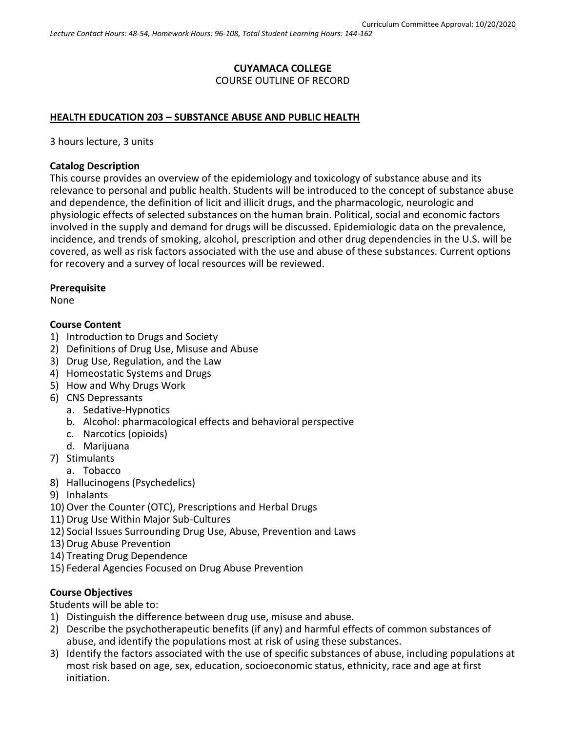# **CUYAMACA COLLEGE** COURSE OUTLINE OF RECORD

#### **HEALTH EDUCATION 203 – SUBSTANCE ABUSE AND PUBLIC HEALTH**

3 hours lecture, 3 units

#### **Catalog Description**

This course provides an overview of the epidemiology and toxicology of substance abuse and its relevance to personal and public health. Students will be introduced to the concept of substance abuse and dependence, the definition of licit and illicit drugs, and the pharmacologic, neurologic and physiologic effects of selected substances on the human brain. Political, social and economic factors involved in the supply and demand for drugs will be discussed. Epidemiologic data on the prevalence, incidence, and trends of smoking, alcohol, prescription and other drug dependencies in the U.S. will be covered, as well as risk factors associated with the use and abuse of these substances. Current options for recovery and a survey of local resources will be reviewed.

#### **Prerequisite**

None

#### **Course Content**

- 1) Introduction to Drugs and Society
- 2) Definitions of Drug Use, Misuse and Abuse
- 3) Drug Use, Regulation, and the Law
- 4) Homeostatic Systems and Drugs
- 5) How and Why Drugs Work
- 6) CNS Depressants
	- a. Sedative-Hypnotics
	- b. Alcohol: pharmacological effects and behavioral perspective
	- c. Narcotics (opioids)
	- d. Marijuana
- 7) Stimulants
	- a. Tobacco
- 8) Hallucinogens (Psychedelics)
- 9) Inhalants
- 10) Over the Counter (OTC), Prescriptions and Herbal Drugs
- 11) Drug Use Within Major Sub-Cultures
- 12) Social Issues Surrounding Drug Use, Abuse, Prevention and Laws
- 13) Drug Abuse Prevention
- 14) Treating Drug Dependence
- 15) Federal Agencies Focused on Drug Abuse Prevention

## **Course Objectives**

Students will be able to:

- 1) Distinguish the difference between drug use, misuse and abuse.
- 2) Describe the psychotherapeutic benefits (if any) and harmful effects of common substances of abuse, and identify the populations most at risk of using these substances.
- 3) Identify the factors associated with the use of specific substances of abuse, including populations at most risk based on age, sex, education, socioeconomic status, ethnicity, race and age at first initiation.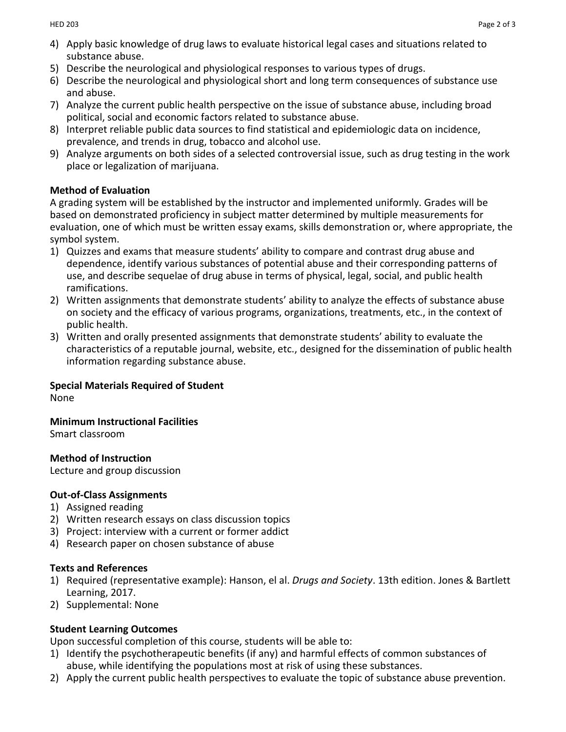- 4) Apply basic knowledge of drug laws to evaluate historical legal cases and situations related to substance abuse.
- 5) Describe the neurological and physiological responses to various types of drugs.
- 6) Describe the neurological and physiological short and long term consequences of substance use and abuse.
- 7) Analyze the current public health perspective on the issue of substance abuse, including broad political, social and economic factors related to substance abuse.
- 8) Interpret reliable public data sources to find statistical and epidemiologic data on incidence, prevalence, and trends in drug, tobacco and alcohol use.
- 9) Analyze arguments on both sides of a selected controversial issue, such as drug testing in the work place or legalization of marijuana.

## **Method of Evaluation**

A grading system will be established by the instructor and implemented uniformly. Grades will be based on demonstrated proficiency in subject matter determined by multiple measurements for evaluation, one of which must be written essay exams, skills demonstration or, where appropriate, the symbol system.

- 1) Quizzes and exams that measure students' ability to compare and contrast drug abuse and dependence, identify various substances of potential abuse and their corresponding patterns of use, and describe sequelae of drug abuse in terms of physical, legal, social, and public health ramifications.
- 2) Written assignments that demonstrate students' ability to analyze the effects of substance abuse on society and the efficacy of various programs, organizations, treatments, etc., in the context of public health.
- 3) Written and orally presented assignments that demonstrate students' ability to evaluate the characteristics of a reputable journal, website, etc., designed for the dissemination of public health information regarding substance abuse.

# **Special Materials Required of Student**

None

**Minimum Instructional Facilities**

Smart classroom

**Method of Instruction**

Lecture and group discussion

## **Out-of-Class Assignments**

- 1) Assigned reading
- 2) Written research essays on class discussion topics
- 3) Project: interview with a current or former addict
- 4) Research paper on chosen substance of abuse

## **Texts and References**

- 1) Required (representative example): Hanson, el al. *Drugs and Society*. 13th edition. Jones & Bartlett Learning, 2017.
- 2) Supplemental: None

## **Student Learning Outcomes**

Upon successful completion of this course, students will be able to:

- 1) Identify the psychotherapeutic benefits (if any) and harmful effects of common substances of abuse, while identifying the populations most at risk of using these substances.
- 2) Apply the current public health perspectives to evaluate the topic of substance abuse prevention.